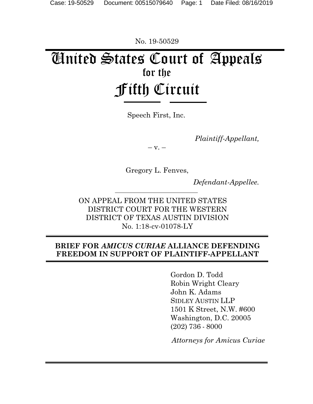No. 19-50529

# United States Court of Appeals for the Fifth Circuit

Speech First, Inc.

*Plaintiff-Appellant,* 

 $-$  V.  $-$ 

Gregory L. Fenves,

*Defendant-Appellee.* 

ON APPEAL FROM THE UNITED STATES DISTRICT COURT FOR THE WESTERN DISTRICT OF TEXAS AUSTIN DIVISION No. 1:18-cv-01078-LY

## **BRIEF FOR** *AMICUS CURIAE* **ALLIANCE DEFENDING FREEDOM IN SUPPORT OF PLAINTIFF-APPELLANT**

 Gordon D. Todd Robin Wright Cleary John K. Adams SIDLEY AUSTIN LLP 1501 K Street, N.W. #600 Washington, D.C. 20005 (202) 736 - 8000

 *Attorneys for Amicu*s *Curiae*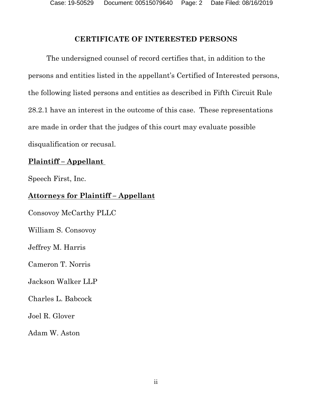### **CERTIFICATE OF INTERESTED PERSONS**

The undersigned counsel of record certifies that, in addition to the persons and entities listed in the appellant's Certified of Interested persons, the following listed persons and entities as described in Fifth Circuit Rule 28.2.1 have an interest in the outcome of this case. These representations are made in order that the judges of this court may evaluate possible disqualification or recusal.

## **Plaintiff – Appellant**

Speech First, Inc.

## **Attorneys for Plaintiff – Appellant**

Consovoy McCarthy PLLC

William S. Consovoy

Jeffrey M. Harris

Cameron T. Norris

## Jackson Walker LLP

Charles L. Babcock

Joel R. Glover

Adam W. Aston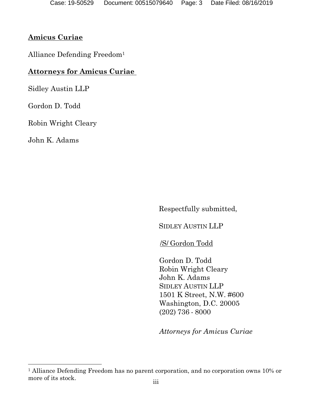## **Amicus Curiae**

Alliance Defending Freedom1

## **Attorneys for Amicus Curiae**

Sidley Austin LLP

Gordon D. Todd

Robin Wright Cleary

John K. Adams

Respectfully submitted,

SIDLEY AUSTIN LLP

/S/ Gordon Todd

Gordon D. Todd Robin Wright Cleary John K. Adams SIDLEY AUSTIN LLP 1501 K Street, N.W. #600 Washington, D.C. 20005 (202) 736 - 8000

*Attorneys for Amicu*s *Curiae*

<sup>1</sup> Alliance Defending Freedom has no parent corporation, and no corporation owns 10% or more of its stock.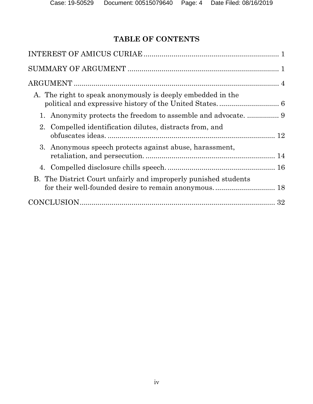## **TABLE OF CONTENTS**

| A. The right to speak anonymously is deeply embedded in the     |  |
|-----------------------------------------------------------------|--|
|                                                                 |  |
| 2. Compelled identification dilutes, distracts from, and        |  |
| 3. Anonymous speech protects against abuse, harassment,         |  |
|                                                                 |  |
| B. The District Court unfairly and improperly punished students |  |
|                                                                 |  |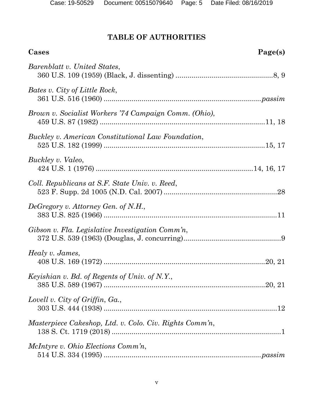# **TABLE OF AUTHORITIES**

| Cases                                                   | Page(s) |
|---------------------------------------------------------|---------|
| Barenblatt v. United States,                            |         |
| Bates v. City of Little Rock,                           |         |
| Brown v. Socialist Workers '74 Campaign Comm. (Ohio),   |         |
| Buckley v. American Constitutional Law Foundation,      |         |
| Buckley v. Valeo,                                       |         |
| Coll. Republicans at S.F. State Univ. v. Reed,          |         |
| DeGregory v. Attorney Gen. of N.H.,                     |         |
| Gibson v. Fla. Legislative Investigation Comm'n,        |         |
| Healy v. James,                                         |         |
| Keyishian v. Bd. of Regents of Univ. of N.Y.,           |         |
| Lovell v. City of Griffin, Ga.,                         |         |
| Masterpiece Cakeshop, Ltd. v. Colo. Civ. Rights Comm'n, |         |
| McIntyre v. Ohio Elections Comm'n,                      |         |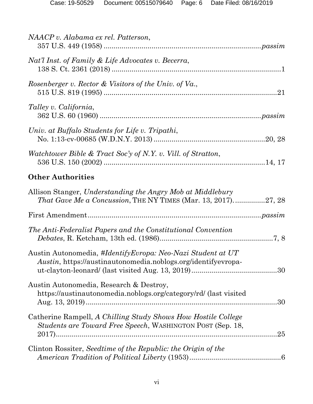| NAACP v. Alabama ex rel. Patterson,                                                                                                |     |
|------------------------------------------------------------------------------------------------------------------------------------|-----|
| Nat'l Inst. of Family & Life Advocates v. Becerra,                                                                                 |     |
| Rosenberger v. Rector & Visitors of the Univ. of Va.,                                                                              |     |
| Talley v. California,                                                                                                              |     |
| Univ. at Buffalo Students for Life v. Tripathi,                                                                                    |     |
| Watchtower Bible & Tract Soc'y of N.Y. v. Vill. of Stratton,                                                                       |     |
| <b>Other Authorities</b>                                                                                                           |     |
| Allison Stanger, Understanding the Angry Mob at Middlebury<br><i>That Gave Me a Concussion, THE NY TIMES (Mar. 13, 2017)27, 28</i> |     |
|                                                                                                                                    |     |
| The Anti-Federalist Papers and the Constitutional Convention                                                                       |     |
| Austin Autonomedia, #IdentifyEvropa: Neo-Nazi Student at UT<br>Austin, https://austinautonomedia.noblogs.org/identifyevropa-       |     |
| Austin Autonomedia, Research & Destroy,<br>https://austinautonomedia.noblogs.org/category/rd/ (last visited                        |     |
| Catherine Rampell, A Chilling Study Shows How Hostile College<br><i>Students are Toward Free Speech, WASHINGTON POST (Sep. 18,</i> | .25 |
| Clinton Rossiter, Seedtime of the Republic: the Origin of the                                                                      |     |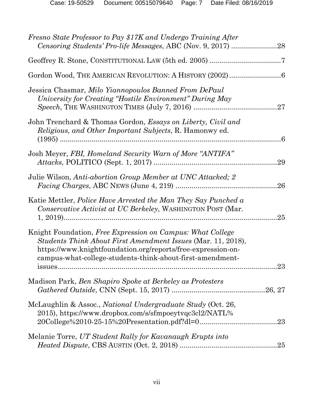| Fresno State Professor to Pay \$17K and Undergo Training After                                                                                                                                                                                          |         |
|---------------------------------------------------------------------------------------------------------------------------------------------------------------------------------------------------------------------------------------------------------|---------|
|                                                                                                                                                                                                                                                         |         |
|                                                                                                                                                                                                                                                         |         |
| Jessica Chasmar, Milo Yiannopoulos Banned From DePaul<br>University for Creating "Hostile Environment" During May                                                                                                                                       |         |
| John Trenchard & Thomas Gordon, <i>Essays on Liberty</i> , <i>Civil and</i><br><i>Religious, and Other Important Subjects, R. Hamonwy ed.</i>                                                                                                           |         |
| Josh Meyer, FBI, Homeland Security Warn of More "ANTIFA"                                                                                                                                                                                                | .29     |
| Julie Wilson, Anti-abortion Group Member at UNC Attacked; 2                                                                                                                                                                                             | 26      |
| Katie Mettler, <i>Police Have Arrested the Man They Say Punched a</i><br>Conservative Activist at UC Berkeley, WASHINGTON POST (Mar.                                                                                                                    | .25     |
| Knight Foundation, Free Expression on Campus: What College<br>Students Think About First Amendment Issues (Mar. 11, 2018),<br>https://www.knightfoundation.org/reports/free-expression-on-<br>campus-what-college-students-think-about-first-amendment- |         |
| Madison Park, Ben Shapiro Spoke at Berkeley as Protesters                                                                                                                                                                                               |         |
| McLaughlin & Assoc., <i>National Undergraduate Study</i> (Oct. 26,<br>2015), https://www.dropbox.com/s/sfmpoeytvqc3cl2/NATL%                                                                                                                            | .23     |
| Melanie Torre, UT Student Rally for Kavanaugh Erupts into                                                                                                                                                                                               | $.25\,$ |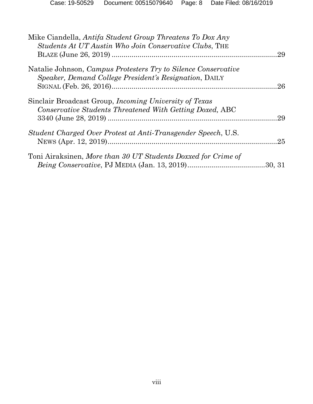| Mike Ciandella, Antifa Student Group Threatens To Dox Any      |     |
|----------------------------------------------------------------|-----|
| Students At UT Austin Who Join Conservative Clubs, THE         |     |
|                                                                | .29 |
| Natalie Johnson, Campus Protesters Try to Silence Conservative |     |
| Speaker, Demand College President's Resignation, DAILY         |     |
|                                                                | .26 |
| Sinclair Broadcast Group, <i>Incoming University of Texas</i>  |     |
| Conservative Students Threatened With Getting Doxed, ABC       |     |
|                                                                | 29  |
| Student Charged Over Protest at Anti-Transgender Speech, U.S.  |     |
|                                                                |     |
|                                                                |     |
| Toni Airaksinen, More than 30 UT Students Doxxed for Crime of  |     |
|                                                                |     |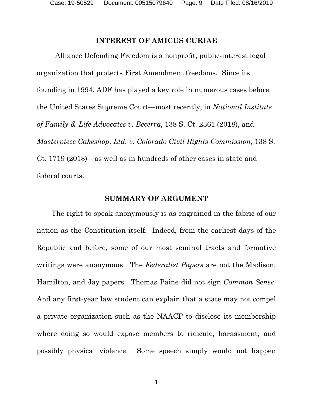#### **INTEREST OF AMICUS CURIAE**

Alliance Defending Freedom is a nonprofit, public-interest legal organization that protects First Amendment freedoms. Since its founding in 1994, ADF has played a key role in numerous cases before the United States Supreme Court—most recently, in *National Institute of Family & Life Advocates v. Becerra*, 138 S. Ct. 2361 (2018), and *Masterpiece Cakeshop, Ltd. v. Colorado Civil Rights Commission*, 138 S. Ct. 1719 (2018)—as well as in hundreds of other cases in state and federal courts.

#### **SUMMARY OF ARGUMENT**

The right to speak anonymously is as engrained in the fabric of our nation as the Constitution itself. Indeed, from the earliest days of the Republic and before, some of our most seminal tracts and formative writings were anonymous. The *Federalist Papers* are not the Madison, Hamilton, and Jay papers. Thomas Paine did not sign *Common Sense*. And any first-year law student can explain that a state may not compel a private organization such as the NAACP to disclose its membership where doing so would expose members to ridicule, harassment, and possibly physical violence. Some speech simply would not happen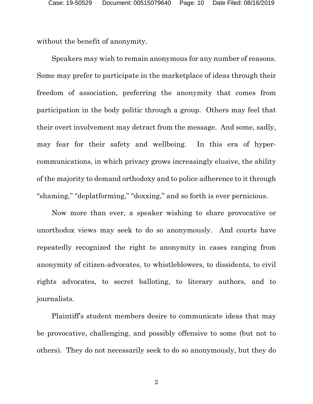without the benefit of anonymity.

Speakers may wish to remain anonymous for any number of reasons. Some may prefer to participate in the marketplace of ideas through their freedom of association, preferring the anonymity that comes from participation in the body politic through a group. Others may feel that their overt involvement may detract from the message. And some, sadly, may fear for their safety and wellbeing. In this era of hypercommunications, in which privacy grows increasingly elusive, the ability of the majority to demand orthodoxy and to police adherence to it through "shaming," "deplatforming," "doxxing," and so forth is ever pernicious.

Now more than ever, a speaker wishing to share provocative or unorthodox views may seek to do so anonymously. And courts have repeatedly recognized the right to anonymity in cases ranging from anonymity of citizen-advocates, to whistleblowers, to dissidents, to civil rights advocates, to secret balloting, to literary authors, and to journalists.

Plaintiff's student members desire to communicate ideas that may be provocative, challenging, and possibly offensive to some (but not to others). They do not necessarily seek to do so anonymously, but they do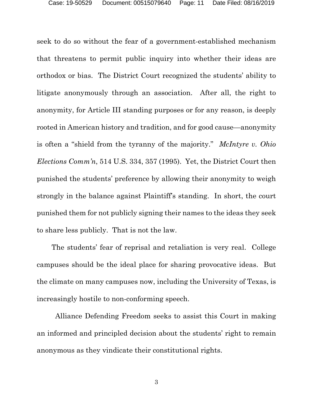seek to do so without the fear of a government-established mechanism that threatens to permit public inquiry into whether their ideas are orthodox or bias. The District Court recognized the students' ability to litigate anonymously through an association. After all, the right to anonymity, for Article III standing purposes or for any reason, is deeply rooted in American history and tradition, and for good cause—anonymity is often a "shield from the tyranny of the majority." *McIntyre v. Ohio Elections Comm'n*, 514 U.S. 334, 357 (1995). Yet, the District Court then punished the students' preference by allowing their anonymity to weigh strongly in the balance against Plaintiff's standing. In short, the court punished them for not publicly signing their names to the ideas they seek to share less publicly. That is not the law.

The students' fear of reprisal and retaliation is very real. College campuses should be the ideal place for sharing provocative ideas. But the climate on many campuses now, including the University of Texas, is increasingly hostile to non-conforming speech.

Alliance Defending Freedom seeks to assist this Court in making an informed and principled decision about the students' right to remain anonymous as they vindicate their constitutional rights.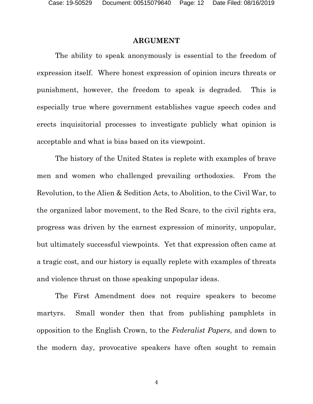#### **ARGUMENT**

The ability to speak anonymously is essential to the freedom of expression itself. Where honest expression of opinion incurs threats or punishment, however, the freedom to speak is degraded. This is especially true where government establishes vague speech codes and erects inquisitorial processes to investigate publicly what opinion is acceptable and what is bias based on its viewpoint.

The history of the United States is replete with examples of brave men and women who challenged prevailing orthodoxies. From the Revolution, to the Alien & Sedition Acts, to Abolition, to the Civil War, to the organized labor movement, to the Red Scare, to the civil rights era, progress was driven by the earnest expression of minority, unpopular, but ultimately successful viewpoints. Yet that expression often came at a tragic cost, and our history is equally replete with examples of threats and violence thrust on those speaking unpopular ideas.

The First Amendment does not require speakers to become martyrs. Small wonder then that from publishing pamphlets in opposition to the English Crown, to the *Federalist Papers*, and down to the modern day, provocative speakers have often sought to remain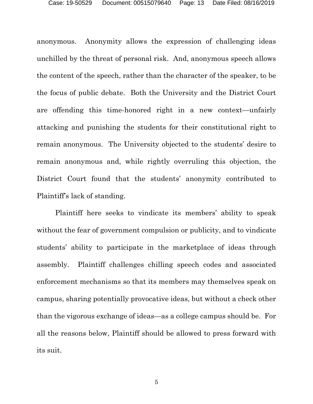anonymous. Anonymity allows the expression of challenging ideas unchilled by the threat of personal risk. And, anonymous speech allows the content of the speech, rather than the character of the speaker, to be the focus of public debate. Both the University and the District Court are offending this time-honored right in a new context—unfairly attacking and punishing the students for their constitutional right to remain anonymous. The University objected to the students' desire to remain anonymous and, while rightly overruling this objection, the District Court found that the students' anonymity contributed to Plaintiff's lack of standing.

Plaintiff here seeks to vindicate its members' ability to speak without the fear of government compulsion or publicity, and to vindicate students' ability to participate in the marketplace of ideas through assembly. Plaintiff challenges chilling speech codes and associated enforcement mechanisms so that its members may themselves speak on campus, sharing potentially provocative ideas, but without a check other than the vigorous exchange of ideas—as a college campus should be. For all the reasons below, Plaintiff should be allowed to press forward with its suit.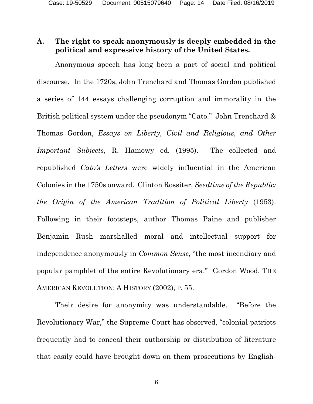## **A. The right to speak anonymously is deeply embedded in the political and expressive history of the United States.**

Anonymous speech has long been a part of social and political discourse. In the 1720s, John Trenchard and Thomas Gordon published a series of 144 essays challenging corruption and immorality in the British political system under the pseudonym "Cato." John Trenchard & Thomas Gordon, *Essays on Liberty, Civil and Religious, and Other Important Subjects*, R. Hamowy ed. (1995). The collected and republished *Cato's Letters* were widely influential in the American Colonies in the 1750s onward. Clinton Rossiter, *Seedtime of the Republic: the Origin of the American Tradition of Political Liberty* (1953). Following in their footsteps, author Thomas Paine and publisher Benjamin Rush marshalled moral and intellectual support for independence anonymously in *Common Sense*, "the most incendiary and popular pamphlet of the entire Revolutionary era." Gordon Wood, THE AMERICAN REVOLUTION: A HISTORY (2002), P. 55.

Their desire for anonymity was understandable. "Before the Revolutionary War," the Supreme Court has observed, "colonial patriots frequently had to conceal their authorship or distribution of literature that easily could have brought down on them prosecutions by English-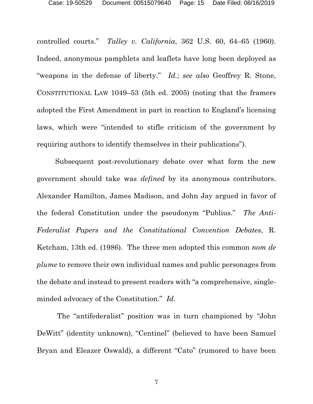controlled courts." *Talley v. California*, 362 U.S. 60, 64–65 (1960). Indeed, anonymous pamphlets and leaflets have long been deployed as "weapons in the defense of liberty." *Id.*; *see also* Geoffrey R. Stone, CONSTITUTIONAL LAW 1049–53 (5th ed. 2005) (noting that the framers adopted the First Amendment in part in reaction to England's licensing laws, which were "intended to stifle criticism of the government by requiring authors to identify themselves in their publications").

Subsequent post-revolutionary debate over what form the new government should take was *defined* by its anonymous contributors. Alexander Hamilton, James Madison, and John Jay argued in favor of the federal Constitution under the pseudonym "Publius." *The Anti-Federalist Papers and the Constitutional Convention Debates*, R. Ketcham, 13th ed. (1986). The three men adopted this common *nom de plume* to remove their own individual names and public personages from the debate and instead to present readers with "a comprehensive, singleminded advocacy of the Constitution." *Id*.

 The "antifederalist" position was in turn championed by "John DeWitt" (identity unknown), "Centinel" (believed to have been Samuel Bryan and Eleazer Oswald), a different "Cato" (rumored to have been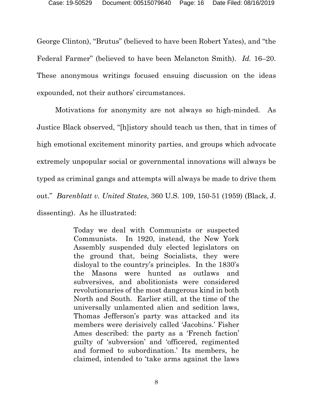George Clinton), "Brutus" (believed to have been Robert Yates), and "the Federal Farmer" (believed to have been Melancton Smith). *Id.* 16–20. These anonymous writings focused ensuing discussion on the ideas expounded, not their authors' circumstances.

Motivations for anonymity are not always so high-minded. As Justice Black observed, "[h]istory should teach us then, that in times of high emotional excitement minority parties, and groups which advocate extremely unpopular social or governmental innovations will always be typed as criminal gangs and attempts will always be made to drive them out." *Barenblatt v. United States*, 360 U.S. 109, 150-51 (1959) (Black, J. dissenting). As he illustrated:

> Today we deal with Communists or suspected Communists. In 1920, instead, the New York Assembly suspended duly elected legislators on the ground that, being Socialists, they were disloyal to the country's principles. In the 1830's the Masons were hunted as outlaws and subversives, and abolitionists were considered revolutionaries of the most dangerous kind in both North and South. Earlier still, at the time of the universally unlamented alien and sedition laws, Thomas Jefferson's party was attacked and its members were derisively called 'Jacobins.' Fisher Ames described: the party as a 'French faction' guilty of 'subversion' and 'officered, regimented and formed to subordination.' Its members, he claimed, intended to 'take arms against the laws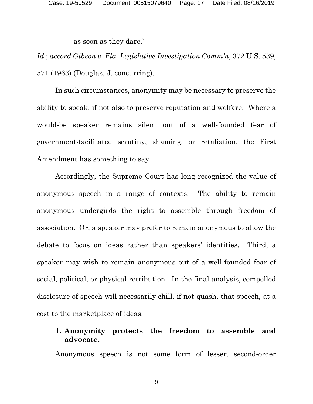as soon as they dare.'

*Id.*; *accord Gibson v. Fla. Legislative Investigation Comm'n*, 372 U.S. 539, 571 (1963) (Douglas, J. concurring).

In such circumstances, anonymity may be necessary to preserve the ability to speak, if not also to preserve reputation and welfare. Where a would-be speaker remains silent out of a well-founded fear of government-facilitated scrutiny, shaming, or retaliation, the First Amendment has something to say.

Accordingly, the Supreme Court has long recognized the value of anonymous speech in a range of contexts. The ability to remain anonymous undergirds the right to assemble through freedom of association. Or, a speaker may prefer to remain anonymous to allow the debate to focus on ideas rather than speakers' identities. Third, a speaker may wish to remain anonymous out of a well-founded fear of social, political, or physical retribution. In the final analysis, compelled disclosure of speech will necessarily chill, if not quash, that speech, at a cost to the marketplace of ideas.

## **1. Anonymity protects the freedom to assemble and advocate.**

Anonymous speech is not some form of lesser, second-order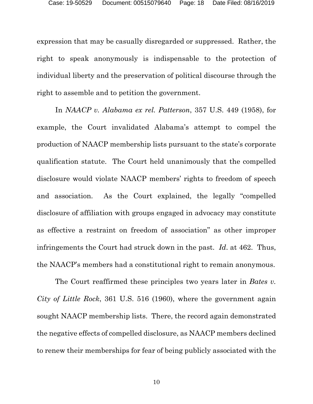expression that may be casually disregarded or suppressed. Rather, the right to speak anonymously is indispensable to the protection of individual liberty and the preservation of political discourse through the right to assemble and to petition the government.

In *NAACP v. Alabama ex rel. Patterson*, 357 U.S. 449 (1958), for example, the Court invalidated Alabama's attempt to compel the production of NAACP membership lists pursuant to the state's corporate qualification statute. The Court held unanimously that the compelled disclosure would violate NAACP members' rights to freedom of speech and association. As the Court explained, the legally "compelled disclosure of affiliation with groups engaged in advocacy may constitute as effective a restraint on freedom of association" as other improper infringements the Court had struck down in the past. *Id*. at 462. Thus, the NAACP's members had a constitutional right to remain anonymous.

The Court reaffirmed these principles two years later in *Bates v. City of Little Rock*, 361 U.S. 516 (1960), where the government again sought NAACP membership lists. There, the record again demonstrated the negative effects of compelled disclosure, as NAACP members declined to renew their memberships for fear of being publicly associated with the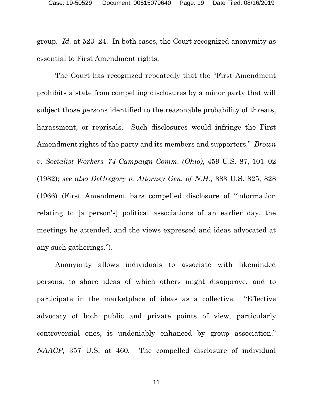group. *Id.* at 523–24. In both cases, the Court recognized anonymity as essential to First Amendment rights.

The Court has recognized repeatedly that the "First Amendment prohibits a state from compelling disclosures by a minor party that will subject those persons identified to the reasonable probability of threats, harassment, or reprisals. Such disclosures would infringe the First Amendment rights of the party and its members and supporters." *Brown v. Socialist Workers '74 Campaign Comm. (Ohio)*, 459 U.S. 87, 101–02 (1982); *see also DeGregory v. Attorney Gen. of N.H.*, 383 U.S. 825, 828 (1966) (First Amendment bars compelled disclosure of "information relating to [a person's] political associations of an earlier day, the meetings he attended, and the views expressed and ideas advocated at any such gatherings.").

Anonymity allows individuals to associate with likeminded persons, to share ideas of which others might disapprove, and to participate in the marketplace of ideas as a collective. "Effective advocacy of both public and private points of view, particularly controversial ones, is undeniably enhanced by group association." *NAACP*, 357 U.S. at 460*.* The compelled disclosure of individual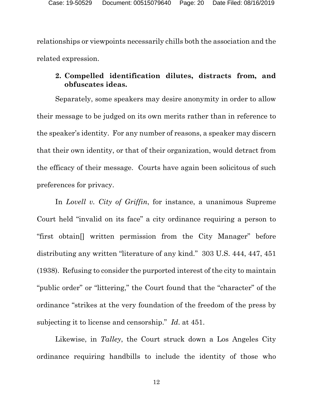relationships or viewpoints necessarily chills both the association and the related expression.

## **2. Compelled identification dilutes, distracts from, and obfuscates ideas.**

Separately, some speakers may desire anonymity in order to allow their message to be judged on its own merits rather than in reference to the speaker's identity. For any number of reasons, a speaker may discern that their own identity, or that of their organization, would detract from the efficacy of their message. Courts have again been solicitous of such preferences for privacy.

In *Lovell v. City of Griffin*, for instance, a unanimous Supreme Court held "invalid on its face" a city ordinance requiring a person to "first obtain[] written permission from the City Manager" before distributing any written "literature of any kind." 303 U.S. 444, 447, 451 (1938). Refusing to consider the purported interest of the city to maintain "public order" or "littering," the Court found that the "character" of the ordinance "strikes at the very foundation of the freedom of the press by subjecting it to license and censorship." *Id*. at 451.

Likewise, in *Talley*, the Court struck down a Los Angeles City ordinance requiring handbills to include the identity of those who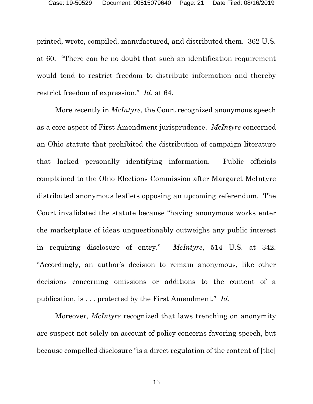printed, wrote, compiled, manufactured, and distributed them. 362 U.S. at 60. "There can be no doubt that such an identification requirement would tend to restrict freedom to distribute information and thereby restrict freedom of expression." *Id*. at 64.

More recently in *McIntyre*, the Court recognized anonymous speech as a core aspect of First Amendment jurisprudence. *McIntyre* concerned an Ohio statute that prohibited the distribution of campaign literature that lacked personally identifying information. Public officials complained to the Ohio Elections Commission after Margaret McIntyre distributed anonymous leaflets opposing an upcoming referendum. The Court invalidated the statute because "having anonymous works enter the marketplace of ideas unquestionably outweighs any public interest in requiring disclosure of entry." *McIntyre*, 514 U.S. at 342. "Accordingly, an author's decision to remain anonymous, like other decisions concerning omissions or additions to the content of a publication, is . . . protected by the First Amendment." *Id*.

Moreover, *McIntyre* recognized that laws trenching on anonymity are suspect not solely on account of policy concerns favoring speech, but because compelled disclosure "is a direct regulation of the content of [the]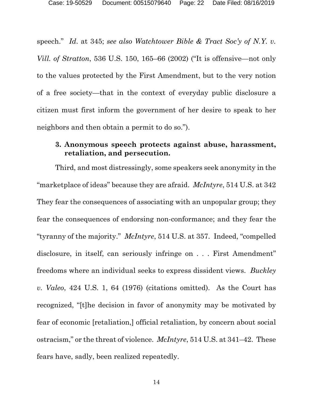speech." *Id*. at 345; *see also Watchtower Bible & Tract Soc'y of N.Y. v. Vill. of Stratton*, 536 U.S. 150, 165–66 (2002) ("It is offensive—not only to the values protected by the First Amendment, but to the very notion of a free society—that in the context of everyday public disclosure a citizen must first inform the government of her desire to speak to her neighbors and then obtain a permit to do so.").

## **3. Anonymous speech protects against abuse, harassment, retaliation, and persecution.**

Third, and most distressingly, some speakers seek anonymity in the "marketplace of ideas" because they are afraid. *McIntyre*, 514 U.S. at 342 They fear the consequences of associating with an unpopular group; they fear the consequences of endorsing non-conformance; and they fear the "tyranny of the majority." *McIntyre*, 514 U.S. at 357. Indeed, "compelled disclosure, in itself, can seriously infringe on . . . First Amendment" freedoms where an individual seeks to express dissident views. *Buckley v. Valeo*, 424 U.S. 1, 64 (1976) (citations omitted). As the Court has recognized, "[t]he decision in favor of anonymity may be motivated by fear of economic [retaliation,] official retaliation, by concern about social ostracism," or the threat of violence. *McIntyre*, 514 U.S. at 341–42. These fears have, sadly, been realized repeatedly.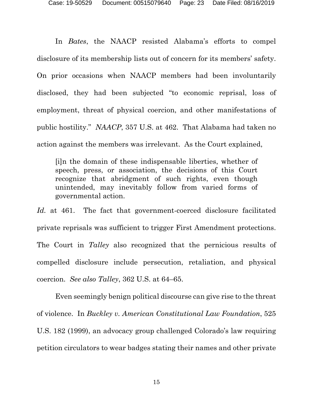In *Bates*, the NAACP resisted Alabama's efforts to compel disclosure of its membership lists out of concern for its members' safety. On prior occasions when NAACP members had been involuntarily disclosed, they had been subjected "to economic reprisal, loss of employment, threat of physical coercion, and other manifestations of public hostility." *NAACP*, 357 U.S. at 462. That Alabama had taken no action against the members was irrelevant. As the Court explained,

[i]n the domain of these indispensable liberties, whether of speech, press, or association, the decisions of this Court recognize that abridgment of such rights, even though unintended, may inevitably follow from varied forms of governmental action.

*Id.* at 461. The fact that government-coerced disclosure facilitated private reprisals was sufficient to trigger First Amendment protections. The Court in *Talley* also recognized that the pernicious results of compelled disclosure include persecution, retaliation, and physical coercion. *See also Talley*, 362 U.S. at 64–65.

Even seemingly benign political discourse can give rise to the threat of violence. In *Buckley v. American Constitutional Law Foundation*, 525 U.S. 182 (1999), an advocacy group challenged Colorado's law requiring petition circulators to wear badges stating their names and other private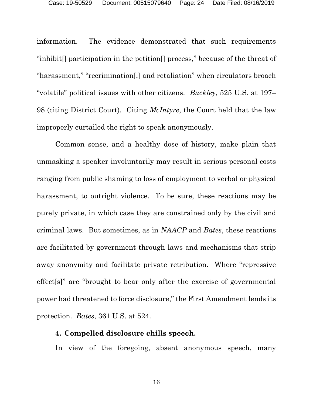information. The evidence demonstrated that such requirements "inhibit[] participation in the petition[] process," because of the threat of "harassment," "recrimination[,] and retaliation" when circulators broach "volatile" political issues with other citizens. *Buckley*, 525 U.S. at 197– 98 (citing District Court). Citing *McIntyre*, the Court held that the law improperly curtailed the right to speak anonymously.

Common sense, and a healthy dose of history, make plain that unmasking a speaker involuntarily may result in serious personal costs ranging from public shaming to loss of employment to verbal or physical harassment, to outright violence. To be sure, these reactions may be purely private, in which case they are constrained only by the civil and criminal laws. But sometimes, as in *NAACP* and *Bates*, these reactions are facilitated by government through laws and mechanisms that strip away anonymity and facilitate private retribution. Where "repressive effect[s]" are "brought to bear only after the exercise of governmental power had threatened to force disclosure," the First Amendment lends its protection. *Bates*, 361 U.S. at 524.

#### **4. Compelled disclosure chills speech.**

In view of the foregoing, absent anonymous speech, many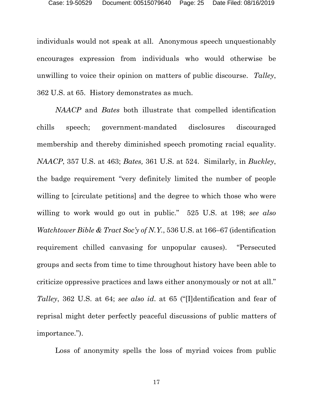individuals would not speak at all. Anonymous speech unquestionably encourages expression from individuals who would otherwise be unwilling to voice their opinion on matters of public discourse. *Talley*, 362 U.S. at 65. History demonstrates as much.

*NAACP* and *Bates* both illustrate that compelled identification chills speech; government-mandated disclosures discouraged membership and thereby diminished speech promoting racial equality. *NAACP*, 357 U.S. at 463; *Bates,* 361 U.S. at 524. Similarly, in *Buckley*, the badge requirement "very definitely limited the number of people willing to *s* [circulate petitions] and the degree to which those who were willing to work would go out in public." 525 U.S. at 198; *see also Watchtower Bible & Tract Soc'y of N.Y.*, 536 U.S. at 166–67 (identification requirement chilled canvasing for unpopular causes). "Persecuted groups and sects from time to time throughout history have been able to criticize oppressive practices and laws either anonymously or not at all." *Talley*, 362 U.S. at 64; *see also id*. at 65 ("[I]dentification and fear of reprisal might deter perfectly peaceful discussions of public matters of importance.").

Loss of anonymity spells the loss of myriad voices from public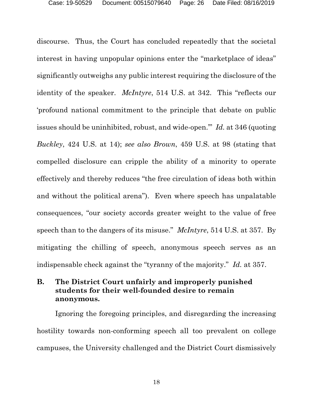discourse. Thus, the Court has concluded repeatedly that the societal interest in having unpopular opinions enter the "marketplace of ideas" significantly outweighs any public interest requiring the disclosure of the identity of the speaker. *McIntyre*, 514 U.S. at 342. This "reflects our 'profound national commitment to the principle that debate on public issues should be uninhibited, robust, and wide-open.'" *Id.* at 346 (quoting *Buckley*, 424 U.S. at 14); *see also Brown*, 459 U.S. at 98 (stating that compelled disclosure can cripple the ability of a minority to operate effectively and thereby reduces "the free circulation of ideas both within and without the political arena"). Even where speech has unpalatable consequences, "our society accords greater weight to the value of free speech than to the dangers of its misuse." *McIntyre*, 514 U.S. at 357. By mitigating the chilling of speech, anonymous speech serves as an indispensable check against the "tyranny of the majority." *Id.* at 357.

## **B. The District Court unfairly and improperly punished students for their well-founded desire to remain anonymous.**

Ignoring the foregoing principles, and disregarding the increasing hostility towards non-conforming speech all too prevalent on college campuses, the University challenged and the District Court dismissively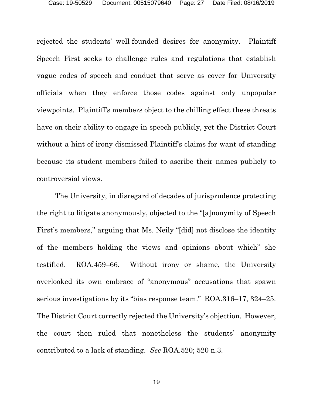rejected the students' well-founded desires for anonymity. Plaintiff Speech First seeks to challenge rules and regulations that establish vague codes of speech and conduct that serve as cover for University officials when they enforce those codes against only unpopular viewpoints. Plaintiff's members object to the chilling effect these threats have on their ability to engage in speech publicly, yet the District Court without a hint of irony dismissed Plaintiff's claims for want of standing because its student members failed to ascribe their names publicly to controversial views.

The University, in disregard of decades of jurisprudence protecting the right to litigate anonymously, objected to the "[a]nonymity of Speech First's members," arguing that Ms. Neily "[did] not disclose the identity of the members holding the views and opinions about which" she testified. ROA.459–66. Without irony or shame, the University overlooked its own embrace of "anonymous" accusations that spawn serious investigations by its "bias response team." ROA.316–17, 324–25. The District Court correctly rejected the University's objection. However, the court then ruled that nonetheless the students' anonymity contributed to a lack of standing. *See* ROA.520; 520 n.3.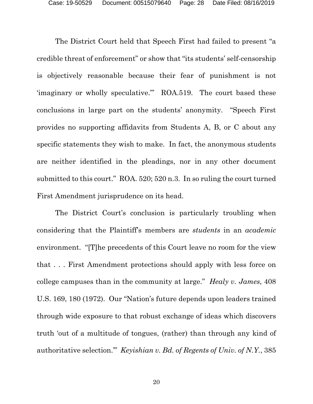The District Court held that Speech First had failed to present "a credible threat of enforcement" or show that "its students' self-censorship is objectively reasonable because their fear of punishment is not 'imaginary or wholly speculative.'" ROA.519. The court based these conclusions in large part on the students' anonymity. "Speech First provides no supporting affidavits from Students A, B, or C about any specific statements they wish to make. In fact, the anonymous students are neither identified in the pleadings, nor in any other document submitted to this court." ROA. 520; 520 n.3. In so ruling the court turned First Amendment jurisprudence on its head.

The District Court's conclusion is particularly troubling when considering that the Plaintiff's members are *students* in an *academic* environment. "[T]he precedents of this Court leave no room for the view that . . . First Amendment protections should apply with less force on college campuses than in the community at large." *Healy v. James*, 408 U.S. 169, 180 (1972). Our "Nation's future depends upon leaders trained through wide exposure to that robust exchange of ideas which discovers truth 'out of a multitude of tongues, (rather) than through any kind of authoritative selection.'" *Keyishian v. Bd. of Regents of Univ. of N.Y.*, 385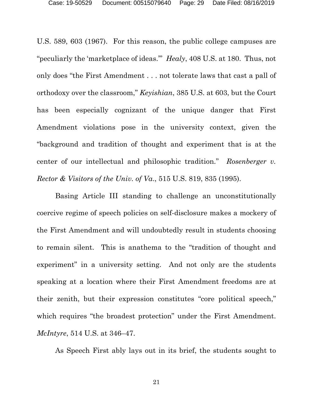U.S. 589, 603 (1967). For this reason, the public college campuses are "peculiarly the 'marketplace of ideas.'" *Healy*, 408 U.S. at 180. Thus, not only does "the First Amendment . . . not tolerate laws that cast a pall of orthodoxy over the classroom," *Keyishian*, 385 U.S. at 603, but the Court has been especially cognizant of the unique danger that First Amendment violations pose in the university context, given the "background and tradition of thought and experiment that is at the center of our intellectual and philosophic tradition." *Rosenberger v. Rector & Visitors of the Univ. of Va*., 515 U.S. 819, 835 (1995).

Basing Article III standing to challenge an unconstitutionally coercive regime of speech policies on self-disclosure makes a mockery of the First Amendment and will undoubtedly result in students choosing to remain silent. This is anathema to the "tradition of thought and experiment" in a university setting. And not only are the students speaking at a location where their First Amendment freedoms are at their zenith, but their expression constitutes "core political speech," which requires "the broadest protection" under the First Amendment. *McIntyre*, 514 U.S. at 346–47.

As Speech First ably lays out in its brief, the students sought to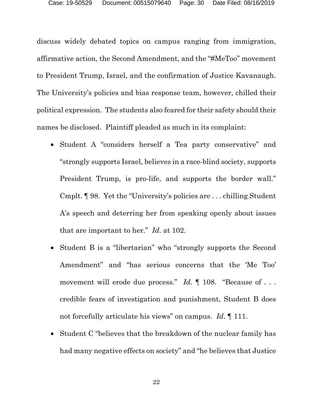discuss widely debated topics on campus ranging from immigration, affirmative action, the Second Amendment, and the "#MeToo" movement to President Trump, Israel, and the confirmation of Justice Kavanaugh. The University's policies and bias response team, however, chilled their political expression. The students also feared for their safety should their names be disclosed. Plaintiff pleaded as much in its complaint:

- Student A "considers herself a Tea party conservative" and "strongly supports Israel, believes in a race-blind society, supports President Trump, is pro-life, and supports the border wall." Cmplt. ¶ 98. Yet the "University's policies are . . . chilling Student A's speech and deterring her from speaking openly about issues that are important to her." *Id*. at 102.
- Student B is a "libertarian" who "strongly supports the Second Amendment" and "has serious concerns that the 'Me Too' movement will erode due process." *Id.*  $\parallel$  108. "Because of . . . credible fears of investigation and punishment, Student B does not forcefully articulate his views" on campus. *Id*. ¶ 111.
- Student C "believes that the breakdown of the nuclear family has had many negative effects on society" and "he believes that Justice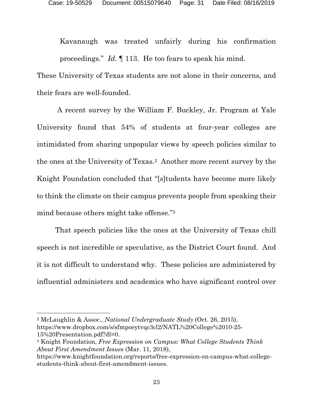Kavanaugh was treated unfairly during his confirmation proceedings." *Id*. ¶ 113. He too fears to speak his mind.

These University of Texas students are not alone in their concerns, and their fears are well-founded.

 A recent survey by the William F. Buckley, Jr. Program at Yale University found that 54% of students at four-year colleges are intimidated from sharing unpopular views by speech policies similar to the ones at the University of Texas.2 Another more recent survey by the Knight Foundation concluded that "[s]tudents have become more likely to think the climate on their campus prevents people from speaking their mind because others might take offense."3

That speech policies like the ones at the University of Texas chill speech is not incredible or speculative, as the District Court found. And it is not difficult to understand why. These policies are administered by influential administers and academics who have significant control over

l

<sup>2</sup> McLaughlin & Assoc., *National Undergraduate Study* (Oct. 26, 2015), https://www.dropbox.com/s/sfmpoeytvqc3cl2/NATL%20College%2010-25- 15%20Presentation.pdf?dl=0.

<sup>3</sup> Knight Foundation, *Free Expression on Campus: What College Students Think About First Amendment Issues* (Mar. 11, 2018),

https://www.knightfoundation.org/reports/free-expression-on-campus-what-collegestudents-think-about-first-amendment-issues.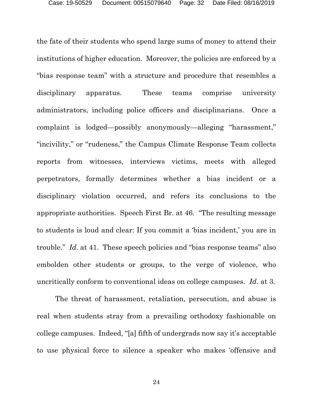the fate of their students who spend large sums of money to attend their institutions of higher education. Moreover, the policies are enforced by a "bias response team" with a structure and procedure that resembles a disciplinary apparatus. These teams comprise university administrators, including police officers and disciplinarians. Once a complaint is lodged—possibly anonymously—alleging "harassment," "incivility," or "rudeness," the Campus Climate Response Team collects reports from witnesses, interviews victims, meets with alleged perpetrators, formally determines whether a bias incident or a disciplinary violation occurred, and refers its conclusions to the appropriate authorities. Speech First Br. at 46. "The resulting message to students is loud and clear: If you commit a 'bias incident,' you are in trouble." *Id*. at 41. These speech policies and "bias response teams" also embolden other students or groups, to the verge of violence, who uncritically conform to conventional ideas on college campuses. *Id*. at 3.

The threat of harassment, retaliation, persecution, and abuse is real when students stray from a prevailing orthodoxy fashionable on college campuses. Indeed, "[a] fifth of undergrads now say it's acceptable to use physical force to silence a speaker who makes 'offensive and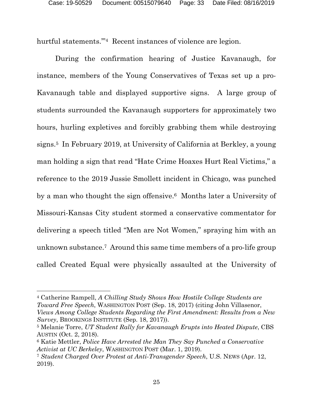hurtful statements."<sup>4</sup> Recent instances of violence are legion.

During the confirmation hearing of Justice Kavanaugh, for instance, members of the Young Conservatives of Texas set up a pro-Kavanaugh table and displayed supportive signs. A large group of students surrounded the Kavanaugh supporters for approximately two hours, hurling expletives and forcibly grabbing them while destroying signs.5 In February 2019, at University of California at Berkley, a young man holding a sign that read "Hate Crime Hoaxes Hurt Real Victims," a reference to the 2019 Jussie Smollett incident in Chicago, was punched by a man who thought the sign offensive.6 Months later a University of Missouri-Kansas City student stormed a conservative commentator for delivering a speech titled "Men are Not Women," spraying him with an unknown substance.7 Around this same time members of a pro-life group called Created Equal were physically assaulted at the University of

l

<sup>4</sup> Catherine Rampell, *A Chilling Study Shows How Hostile College Students are Toward Free Speech*, WASHINGTON POST (Sep. 18, 2017) (citing John Villasenor, *Views Among College Students Regarding the First Amendment: Results from a New Survey*, BROOKINGS INSTITUTE (Sep. 18, 2017)).

<sup>5</sup> Melanie Torre, *UT Student Rally for Kavanaugh Erupts into Heated Dispute*, CBS AUSTIN (Oct. 2, 2018).

<sup>6</sup> Katie Mettler, *Police Have Arrested the Man They Say Punched a Conservative Activist at UC Berkeley*, WASHINGTON POST (Mar. 1, 2019).

<sup>7</sup> *Student Charged Over Protest at Anti-Transgender Speech*, U.S. NEWS (Apr. 12, 2019).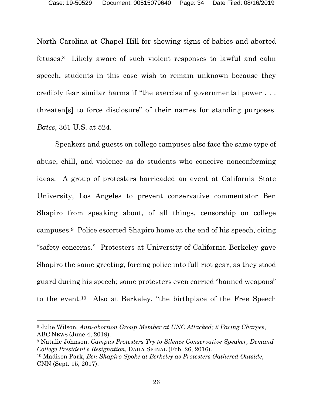North Carolina at Chapel Hill for showing signs of babies and aborted fetuses.8 Likely aware of such violent responses to lawful and calm speech, students in this case wish to remain unknown because they credibly fear similar harms if "the exercise of governmental power . . . threaten[s] to force disclosure" of their names for standing purposes. *Bates*, 361 U.S. at 524.

Speakers and guests on college campuses also face the same type of abuse, chill, and violence as do students who conceive nonconforming ideas. A group of protesters barricaded an event at California State University, Los Angeles to prevent conservative commentator Ben Shapiro from speaking about, of all things, censorship on college campuses.9 Police escorted Shapiro home at the end of his speech, citing "safety concerns." Protesters at University of California Berkeley gave Shapiro the same greeting, forcing police into full riot gear, as they stood guard during his speech; some protesters even carried "banned weapons" to the event.10 Also at Berkeley, "the birthplace of the Free Speech

 $\overline{a}$ 

<sup>8</sup> Julie Wilson, *Anti-abortion Group Member at UNC Attacked; 2 Facing Charges*, ABC NEWS (June 4, 2019).

<sup>9</sup> Natalie Johnson, *Campus Protesters Try to Silence Conservative Speaker, Demand College President's Resignation*, DAILY SIGNAL (Feb. 26, 2016). 10 Madison Park, *Ben Shapiro Spoke at Berkeley as Protesters Gathered Outside*, CNN (Sept. 15, 2017).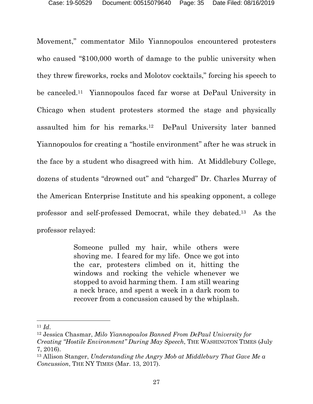Movement," commentator Milo Yiannopoulos encountered protesters who caused "\$100,000 worth of damage to the public university when they threw fireworks, rocks and Molotov cocktails," forcing his speech to be canceled.11 Yiannopoulos faced far worse at DePaul University in Chicago when student protesters stormed the stage and physically assaulted him for his remarks.12 DePaul University later banned Yiannopoulos for creating a "hostile environment" after he was struck in the face by a student who disagreed with him. At Middlebury College, dozens of students "drowned out" and "charged" Dr. Charles Murray of the American Enterprise Institute and his speaking opponent, a college professor and self-professed Democrat, while they debated.13 As the professor relayed:

> Someone pulled my hair, while others were shoving me. I feared for my life. Once we got into the car, protesters climbed on it, hitting the windows and rocking the vehicle whenever we stopped to avoid harming them. I am still wearing a neck brace, and spent a week in a dark room to recover from a concussion caused by the whiplash.

 $\overline{a}$ 

<sup>11</sup> *Id*. 12 Jessica Chasmar, *Milo Yiannopoulos Banned From DePaul University for Creating "Hostile Environment" During May Speech*, THE WASHINGTON TIMES (July 7, 2016).

<sup>13</sup> Allison Stanger, *Understanding the Angry Mob at Middlebury That Gave Me a Concussion*, THE NY TIMES (Mar. 13, 2017).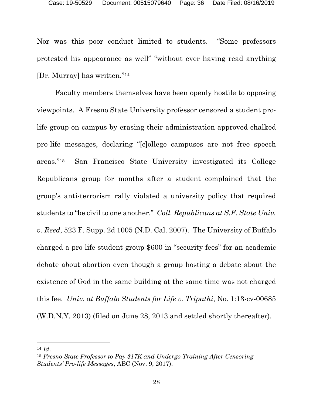Nor was this poor conduct limited to students. "Some professors protested his appearance as well" "without ever having read anything [Dr. Murray] has written."14

Faculty members themselves have been openly hostile to opposing viewpoints. A Fresno State University professor censored a student prolife group on campus by erasing their administration-approved chalked pro-life messages, declaring "[c]ollege campuses are not free speech areas."15 San Francisco State University investigated its College Republicans group for months after a student complained that the group's anti-terrorism rally violated a university policy that required students to "be civil to one another." *Coll. Republicans at S.F. State Univ. v. Reed*, 523 F. Supp. 2d 1005 (N.D. Cal. 2007). The University of Buffalo charged a pro-life student group \$600 in "security fees" for an academic debate about abortion even though a group hosting a debate about the existence of God in the same building at the same time was not charged this fee. *Univ. at Buffalo Students for Life v. Tripathi*, No. 1:13-cv-00685 (W.D.N.Y. 2013) (filed on June 28, 2013 and settled shortly thereafter).

l

<sup>14</sup> *Id*. 15 *Fresno State Professor to Pay \$17K and Undergo Training After Censoring Students' Pro-life Messages*, ABC (Nov. 9, 2017).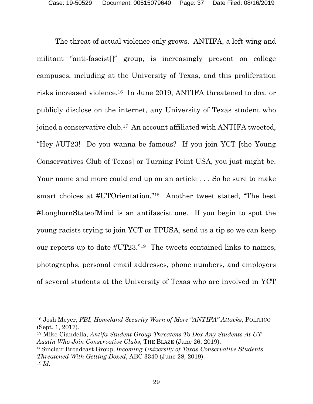The threat of actual violence only grows. ANTIFA, a left-wing and militant "anti-fascist[]" group, is increasingly present on college campuses, including at the University of Texas, and this proliferation risks increased violence.16 In June 2019, ANTIFA threatened to dox, or publicly disclose on the internet, any University of Texas student who joined a conservative club.17 An account affiliated with ANTIFA tweeted, "Hey #UT23! Do you wanna be famous? If you join YCT [the Young Conservatives Club of Texas] or Turning Point USA, you just might be. Your name and more could end up on an article . . . So be sure to make smart choices at #UTOrientation."18 Another tweet stated, "The best #LonghornStateofMind is an antifascist one. If you begin to spot the young racists trying to join YCT or TPUSA, send us a tip so we can keep our reports up to date #UT23."19 The tweets contained links to names, photographs, personal email addresses, phone numbers, and employers of several students at the University of Texas who are involved in YCT

l

<sup>18</sup> Sinclair Broadcast Group, *Incoming University of Texas Conservative Students Threatened With Getting Doxed*, ABC 3340 (June 28, 2019). <sup>19</sup> *Id*.

<sup>16</sup> Josh Meyer, *FBI, Homeland Security Warn of More "ANTIFA" Attacks*, POLITICO (Sept. 1, 2017).

<sup>17</sup> Mike Ciandella, *Antifa Student Group Threatens To Dox Any Students At UT Austin Who Join Conservative Clubs*, THE BLAZE (June 26, 2019).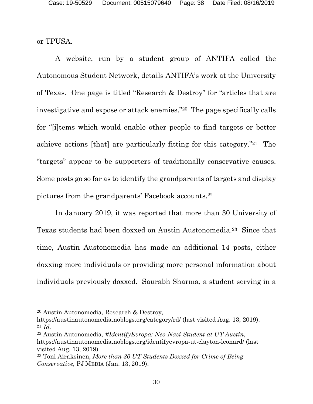or TPUSA.

A website, run by a student group of ANTIFA called the Autonomous Student Network, details ANTIFA's work at the University of Texas. One page is titled "Research & Destroy" for "articles that are investigative and expose or attack enemies."20 The page specifically calls for "[i]tems which would enable other people to find targets or better achieve actions [that] are particularly fitting for this category."21 The "targets" appear to be supporters of traditionally conservative causes. Some posts go so far as to identify the grandparents of targets and display pictures from the grandparents' Facebook accounts.22

In January 2019, it was reported that more than 30 University of Texas students had been doxxed on Austin Austonomedia.23 Since that time, Austin Austonomedia has made an additional 14 posts, either doxxing more individuals or providing more personal information about individuals previously doxxed. Saurabh Sharma, a student serving in a

l

<sup>20</sup> Austin Autonomedia, Research & Destroy,

https://austinautonomedia.noblogs.org/category/rd/ (last visited Aug. 13, 2019). <sup>21</sup> *Id*.

<sup>22</sup> Austin Autonomedia, *#IdentifyEvropa: Neo-Nazi Student at UT Austin*, https://austinautonomedia.noblogs.org/identifyevropa-ut-clayton-leonard/ (last visited Aug. 13, 2019).

<sup>23</sup> Toni Airaksinen, *More than 30 UT Students Doxxed for Crime of Being Conservative*, PJ MEDIA (Jan. 13, 2019).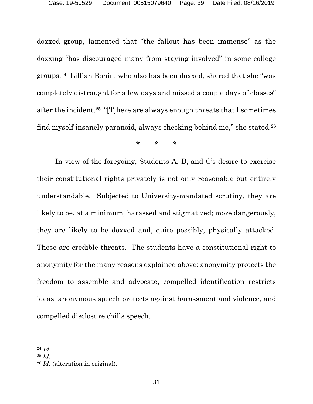doxxed group, lamented that "the fallout has been immense" as the doxxing "has discouraged many from staying involved" in some college groups.24 Lillian Bonin, who also has been doxxed, shared that she "was completely distraught for a few days and missed a couple days of classes" after the incident.25 "[T]here are always enough threats that I sometimes find myself insanely paranoid, always checking behind me," she stated.26

**\* \* \***

In view of the foregoing, Students A, B, and C's desire to exercise their constitutional rights privately is not only reasonable but entirely understandable. Subjected to University-mandated scrutiny, they are likely to be, at a minimum, harassed and stigmatized; more dangerously, they are likely to be doxxed and, quite possibly, physically attacked. These are credible threats. The students have a constitutional right to anonymity for the many reasons explained above: anonymity protects the freedom to assemble and advocate, compelled identification restricts ideas, anonymous speech protects against harassment and violence, and compelled disclosure chills speech.

l

<sup>24</sup> *Id.* 

<sup>25</sup> *Id.*

<sup>26</sup> *Id.* (alteration in original).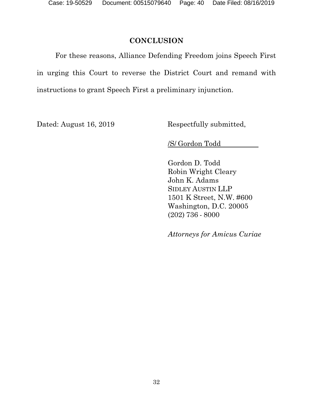## **CONCLUSION**

For these reasons, Alliance Defending Freedom joins Speech First in urging this Court to reverse the District Court and remand with instructions to grant Speech First a preliminary injunction.

Dated: August 16, 2019 Respectfully submitted,

/S/ Gordon Todd

Gordon D. Todd Robin Wright Cleary John K. Adams SIDLEY AUSTIN LLP 1501 K Street, N.W. #600 Washington, D.C. 20005 (202) 736 - 8000

*Attorneys for Amicu*s *Curiae*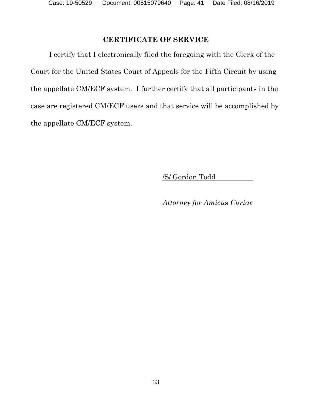## **CERTIFICATE OF SERVICE**

I certify that I electronically filed the foregoing with the Clerk of the Court for the United States Court of Appeals for the Fifth Circuit by using the appellate CM/ECF system. I further certify that all participants in the case are registered CM/ECF users and that service will be accomplished by the appellate CM/ECF system.

/S/ Gordon Todd

*Attorney for Amicu*s *Curiae*